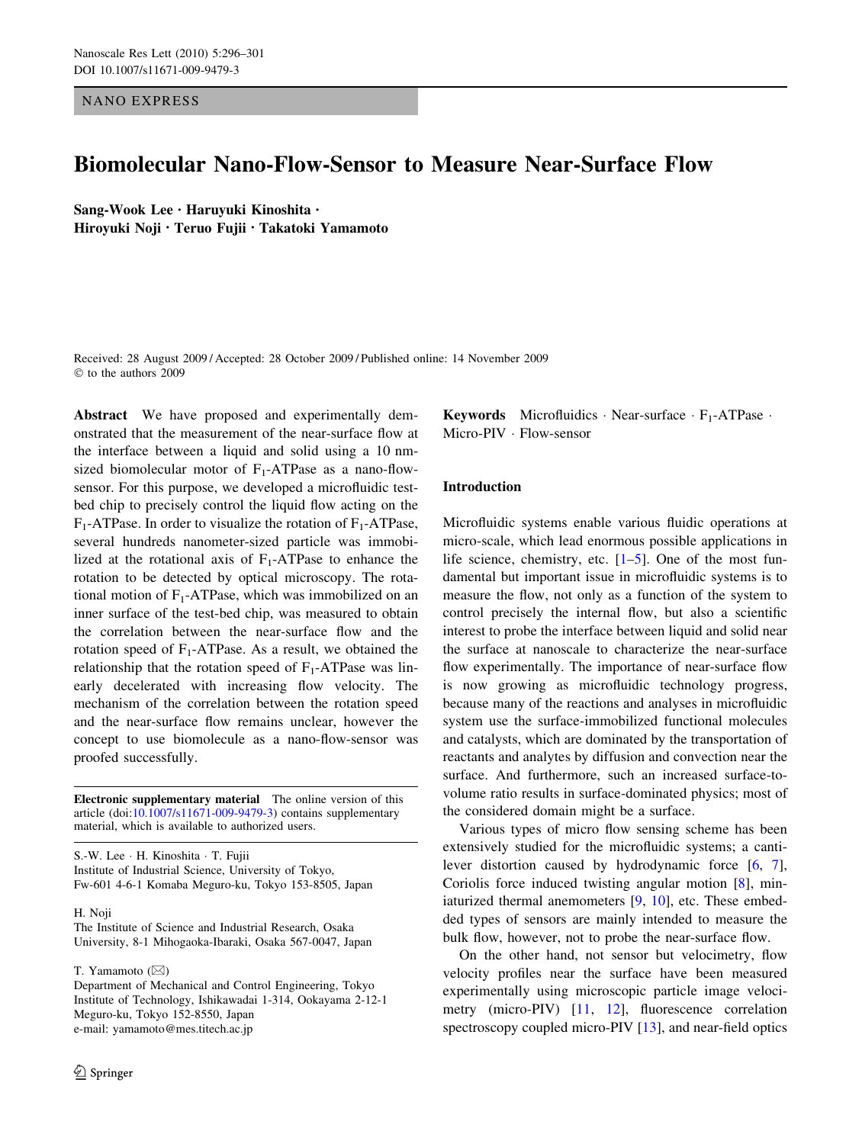NANO EXPRESS

# Biomolecular Nano-Flow-Sensor to Measure Near-Surface Flow

Sang-Wook Lee • Haruyuki Kinoshita • Hiroyuki Noji • Teruo Fujii • Takatoki Yamamoto

Received: 28 August 2009 / Accepted: 28 October 2009 / Published online: 14 November 2009  $©$  to the authors 2009

Abstract We have proposed and experimentally demonstrated that the measurement of the near-surface flow at the interface between a liquid and solid using a 10 nmsized biomolecular motor of  $F_1$ -ATPase as a nano-flowsensor. For this purpose, we developed a microfluidic testbed chip to precisely control the liquid flow acting on the  $F_1$ -ATPase. In order to visualize the rotation of  $F_1$ -ATPase, several hundreds nanometer-sized particle was immobilized at the rotational axis of  $F_1$ -ATPase to enhance the rotation to be detected by optical microscopy. The rotational motion of  $F_1$ -ATPase, which was immobilized on an inner surface of the test-bed chip, was measured to obtain the correlation between the near-surface flow and the rotation speed of  $F_1$ -ATPase. As a result, we obtained the relationship that the rotation speed of  $F_1$ -ATPase was linearly decelerated with increasing flow velocity. The mechanism of the correlation between the rotation speed and the near-surface flow remains unclear, however the concept to use biomolecule as a nano-flow-sensor was proofed successfully.

Electronic supplementary material The online version of this article (doi:[10.1007/s11671-009-9479-3\)](http://dx.doi.org/10.1007/s11671-009-9479-3) contains supplementary material, which is available to authorized users.

S.-W. Lee · H. Kinoshita · T. Fujii Institute of Industrial Science, University of Tokyo, Fw-601 4-6-1 Komaba Meguro-ku, Tokyo 153-8505, Japan

#### H. Noji

The Institute of Science and Industrial Research, Osaka University, 8-1 Mihogaoka-Ibaraki, Osaka 567-0047, Japan

T. Yamamoto  $(\boxtimes)$ 

Department of Mechanical and Control Engineering, Tokyo Institute of Technology, Ishikawadai 1-314, Ookayama 2-12-1 Meguro-ku, Tokyo 152-8550, Japan e-mail: yamamoto@mes.titech.ac.jp

**Keywords** Microfluidics  $\cdot$  Near-surface  $\cdot$  F<sub>1</sub>-ATPase  $\cdot$ Micro-PIV · Flow-sensor

## Introduction

Microfluidic systems enable various fluidic operations at micro-scale, which lead enormous possible applications in life science, chemistry, etc.  $[1-5]$ . One of the most fundamental but important issue in microfluidic systems is to measure the flow, not only as a function of the system to control precisely the internal flow, but also a scientific interest to probe the interface between liquid and solid near the surface at nanoscale to characterize the near-surface flow experimentally. The importance of near-surface flow is now growing as microfluidic technology progress, because many of the reactions and analyses in microfluidic system use the surface-immobilized functional molecules and catalysts, which are dominated by the transportation of reactants and analytes by diffusion and convection near the surface. And furthermore, such an increased surface-tovolume ratio results in surface-dominated physics; most of the considered domain might be a surface.

Various types of micro flow sensing scheme has been extensively studied for the microfluidic systems; a cantilever distortion caused by hydrodynamic force [[6,](#page-5-0) [7](#page-5-0)], Coriolis force induced twisting angular motion [\[8](#page-5-0)], min-iaturized thermal anemometers [\[9](#page-5-0), [10\]](#page-5-0), etc. These embedded types of sensors are mainly intended to measure the bulk flow, however, not to probe the near-surface flow.

On the other hand, not sensor but velocimetry, flow velocity profiles near the surface have been measured experimentally using microscopic particle image veloci-metry (micro-PIV) [\[11](#page-5-0), [12\]](#page-5-0), fluorescence correlation spectroscopy coupled micro-PIV [[13\]](#page-5-0), and near-field optics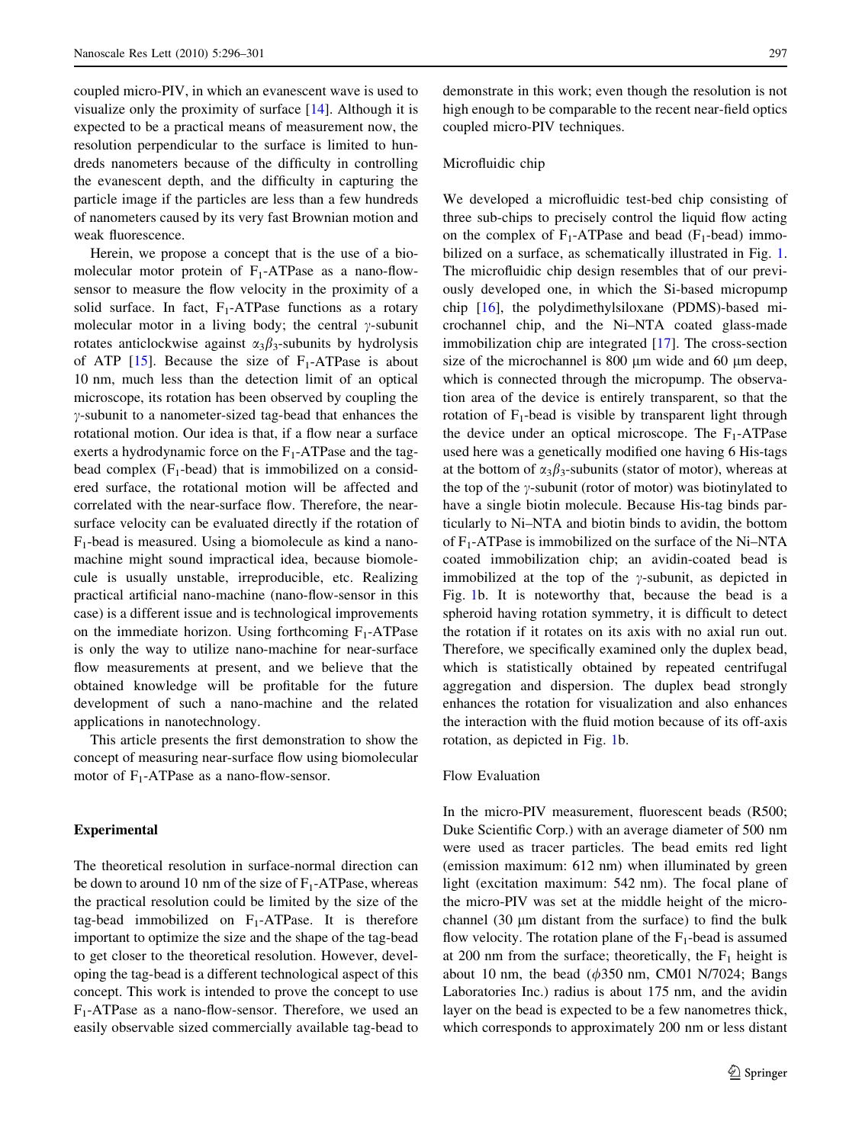coupled micro-PIV, in which an evanescent wave is used to visualize only the proximity of surface [\[14](#page-5-0)]. Although it is expected to be a practical means of measurement now, the resolution perpendicular to the surface is limited to hundreds nanometers because of the difficulty in controlling the evanescent depth, and the difficulty in capturing the particle image if the particles are less than a few hundreds of nanometers caused by its very fast Brownian motion and weak fluorescence.

Herein, we propose a concept that is the use of a biomolecular motor protein of  $F_1$ -ATPase as a nano-flowsensor to measure the flow velocity in the proximity of a solid surface. In fact,  $F_1$ -ATPase functions as a rotary molecular motor in a living body; the central  $\gamma$ -subunit rotates anticlockwise against  $\alpha_3\beta_3$ -subunits by hydrolysis of ATP  $[15]$  $[15]$ . Because the size of  $F_1$ -ATPase is about 10 nm, much less than the detection limit of an optical microscope, its rotation has been observed by coupling the  $\gamma$ -subunit to a nanometer-sized tag-bead that enhances the rotational motion. Our idea is that, if a flow near a surface exerts a hydrodynamic force on the  $F_1$ -ATPase and the tagbead complex  $(F_1$ -bead) that is immobilized on a considered surface, the rotational motion will be affected and correlated with the near-surface flow. Therefore, the nearsurface velocity can be evaluated directly if the rotation of  $F_1$ -bead is measured. Using a biomolecule as kind a nanomachine might sound impractical idea, because biomolecule is usually unstable, irreproducible, etc. Realizing practical artificial nano-machine (nano-flow-sensor in this case) is a different issue and is technological improvements on the immediate horizon. Using forthcoming  $F_1$ -ATPase is only the way to utilize nano-machine for near-surface flow measurements at present, and we believe that the obtained knowledge will be profitable for the future development of such a nano-machine and the related applications in nanotechnology.

This article presents the first demonstration to show the concept of measuring near-surface flow using biomolecular motor of  $F_1$ -ATPase as a nano-flow-sensor.

## Experimental

The theoretical resolution in surface-normal direction can be down to around 10 nm of the size of  $F_1$ -ATPase, whereas the practical resolution could be limited by the size of the tag-bead immobilized on  $F_1$ -ATPase. It is therefore important to optimize the size and the shape of the tag-bead to get closer to the theoretical resolution. However, developing the tag-bead is a different technological aspect of this concept. This work is intended to prove the concept to use  $F_1$ -ATPase as a nano-flow-sensor. Therefore, we used an easily observable sized commercially available tag-bead to demonstrate in this work; even though the resolution is not high enough to be comparable to the recent near-field optics coupled micro-PIV techniques.

# Microfluidic chip

We developed a microfluidic test-bed chip consisting of three sub-chips to precisely control the liquid flow acting on the complex of  $F_1$ -ATPase and bead ( $F_1$ -bead) immobilized on a surface, as schematically illustrated in Fig. [1.](#page-2-0) The microfluidic chip design resembles that of our previously developed one, in which the Si-based micropump chip [[16](#page-5-0)], the polydimethylsiloxane (PDMS)-based microchannel chip, and the Ni–NTA coated glass-made immobilization chip are integrated [[17\]](#page-5-0). The cross-section size of the microchannel is 800  $\mu$ m wide and 60  $\mu$ m deep, which is connected through the micropump. The observation area of the device is entirely transparent, so that the rotation of  $F_1$ -bead is visible by transparent light through the device under an optical microscope. The  $F_1$ -ATPase used here was a genetically modified one having 6 His-tags at the bottom of  $\alpha_3\beta_3$ -subunits (stator of motor), whereas at the top of the  $\gamma$ -subunit (rotor of motor) was biotinylated to have a single biotin molecule. Because His-tag binds particularly to Ni–NTA and biotin binds to avidin, the bottom of  $F_1$ -ATPase is immobilized on the surface of the Ni–NTA coated immobilization chip; an avidin-coated bead is immobilized at the top of the  $\gamma$ -subunit, as depicted in Fig. [1](#page-2-0)b. It is noteworthy that, because the bead is a spheroid having rotation symmetry, it is difficult to detect the rotation if it rotates on its axis with no axial run out. Therefore, we specifically examined only the duplex bead, which is statistically obtained by repeated centrifugal aggregation and dispersion. The duplex bead strongly enhances the rotation for visualization and also enhances the interaction with the fluid motion because of its off-axis rotation, as depicted in Fig. [1](#page-2-0)b.

#### Flow Evaluation

In the micro-PIV measurement, fluorescent beads (R500; Duke Scientific Corp.) with an average diameter of 500 nm were used as tracer particles. The bead emits red light (emission maximum: 612 nm) when illuminated by green light (excitation maximum: 542 nm). The focal plane of the micro-PIV was set at the middle height of the microchannel  $(30 \mu m)$  distant from the surface) to find the bulk flow velocity. The rotation plane of the  $F_1$ -bead is assumed at 200 nm from the surface; theoretically, the  $F_1$  height is about 10 nm, the bead  $(\phi 350 \text{ nm}, \text{ CM}01 \text{ N}/7024; \text{Bangs})$ Laboratories Inc.) radius is about 175 nm, and the avidin layer on the bead is expected to be a few nanometres thick, which corresponds to approximately 200 nm or less distant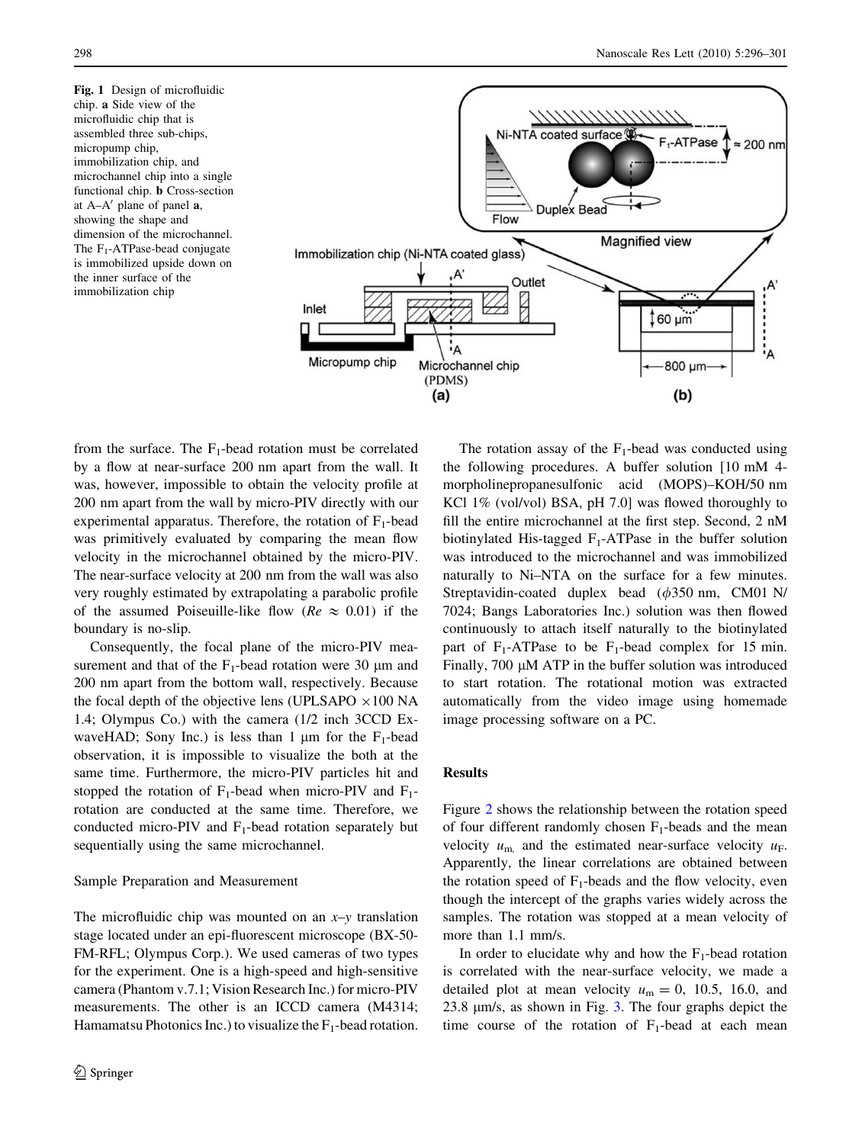<span id="page-2-0"></span>Fig. 1 Design of microfluidic chip. a Side view of the microfluidic chip that is assembled three sub-chips, micropump chip, immobilization chip, and microchannel chip into a single functional chip. b Cross-section at  $A-A'$  plane of panel  $a$ , showing the shape and dimension of the microchannel. The  $F_1$ -ATPase-bead conjugate is immobilized upside down on the inner surface of the immobilization chip



from the surface. The  $F_1$ -bead rotation must be correlated by a flow at near-surface 200 nm apart from the wall. It was, however, impossible to obtain the velocity profile at 200 nm apart from the wall by micro-PIV directly with our experimental apparatus. Therefore, the rotation of  $F_1$ -bead was primitively evaluated by comparing the mean flow velocity in the microchannel obtained by the micro-PIV. The near-surface velocity at 200 nm from the wall was also very roughly estimated by extrapolating a parabolic profile of the assumed Poiseuille-like flow ( $Re \approx 0.01$ ) if the boundary is no-slip.

Consequently, the focal plane of the micro-PIV measurement and that of the  $F_1$ -bead rotation were 30  $\mu$ m and 200 nm apart from the bottom wall, respectively. Because the focal depth of the objective lens (UPLSAPO  $\times 100$  NA 1.4; Olympus Co.) with the camera (1/2 inch 3CCD ExwaveHAD; Sony Inc.) is less than 1  $\mu$ m for the F<sub>1</sub>-bead observation, it is impossible to visualize the both at the same time. Furthermore, the micro-PIV particles hit and stopped the rotation of  $F_1$ -bead when micro-PIV and  $F_1$ rotation are conducted at the same time. Therefore, we conducted micro-PIV and  $F_1$ -bead rotation separately but sequentially using the same microchannel.

## Sample Preparation and Measurement

The microfluidic chip was mounted on an  $x-y$  translation stage located under an epi-fluorescent microscope (BX-50- FM-RFL; Olympus Corp.). We used cameras of two types for the experiment. One is a high-speed and high-sensitive camera (Phantom v.7.1; Vision Research Inc.) for micro-PIV measurements. The other is an ICCD camera (M4314; Hamamatsu Photonics Inc.) to visualize the  $F_1$ -bead rotation.

The rotation assay of the  $F_1$ -bead was conducted using the following procedures. A buffer solution [10 mM 4 morpholinepropanesulfonic acid (MOPS)–KOH/50 nm KCl 1% (vol/vol) BSA, pH 7.0] was flowed thoroughly to fill the entire microchannel at the first step. Second, 2 nM biotinylated His-tagged  $F_1$ -ATPase in the buffer solution was introduced to the microchannel and was immobilized naturally to Ni–NTA on the surface for a few minutes. Streptavidin-coated duplex bead  $(\phi 350 \text{ nm}, \text{CM}01 \text{ N})$ 7024; Bangs Laboratories Inc.) solution was then flowed continuously to attach itself naturally to the biotinylated part of  $F_1$ -ATPase to be  $F_1$ -bead complex for 15 min. Finally,  $700 \mu M$  ATP in the buffer solution was introduced to start rotation. The rotational motion was extracted automatically from the video image using homemade image processing software on a PC.

## Results

Figure [2](#page-3-0) shows the relationship between the rotation speed of four different randomly chosen  $F_1$ -beads and the mean velocity  $u_{\rm m}$  and the estimated near-surface velocity  $u_{\rm F}$ . Apparently, the linear correlations are obtained between the rotation speed of  $F_1$ -beads and the flow velocity, even though the intercept of the graphs varies widely across the samples. The rotation was stopped at a mean velocity of more than 1.1 mm/s.

In order to elucidate why and how the  $F_1$ -bead rotation is correlated with the near-surface velocity, we made a detailed plot at mean velocity  $u_m = 0$ , 10.5, 16.0, and 2[3](#page-4-0).8  $\mu$ m/s, as shown in Fig. 3. The four graphs depict the time course of the rotation of  $F_1$ -bead at each mean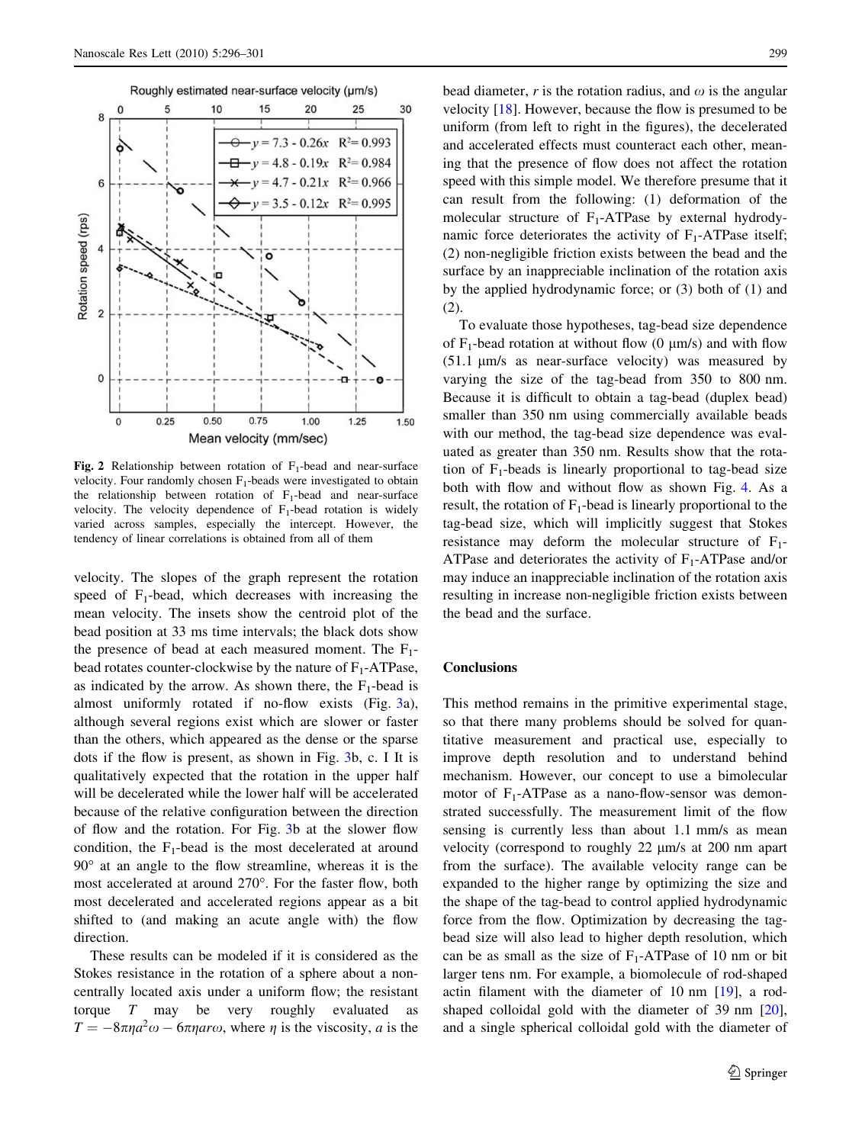<span id="page-3-0"></span>

Fig. 2 Relationship between rotation of  $F_1$ -bead and near-surface velocity. Four randomly chosen  $F_1$ -beads were investigated to obtain the relationship between rotation of  $F_1$ -bead and near-surface velocity. The velocity dependence of  $F_1$ -bead rotation is widely varied across samples, especially the intercept. However, the tendency of linear correlations is obtained from all of them

velocity. The slopes of the graph represent the rotation speed of  $F_1$ -bead, which decreases with increasing the mean velocity. The insets show the centroid plot of the bead position at 33 ms time intervals; the black dots show the presence of bead at each measured moment. The  $F_1$ bead rotates counter-clockwise by the nature of  $F_1$ -ATPase, as indicated by the arrow. As shown there, the  $F_1$ -bead is almost uniformly rotated if no-flow exists (Fig. [3a](#page-4-0)), although several regions exist which are slower or faster than the others, which appeared as the dense or the sparse dots if the flow is present, as shown in Fig. [3b](#page-4-0), c. I It is qualitatively expected that the rotation in the upper half will be decelerated while the lower half will be accelerated because of the relative configuration between the direction of flow and the rotation. For Fig. [3](#page-4-0)b at the slower flow condition, the  $F_1$ -bead is the most decelerated at around  $90^\circ$  at an angle to the flow streamline, whereas it is the most accelerated at around 270°. For the faster flow, both most decelerated and accelerated regions appear as a bit shifted to (and making an acute angle with) the flow direction.

These results can be modeled if it is considered as the Stokes resistance in the rotation of a sphere about a noncentrally located axis under a uniform flow; the resistant torque T may be very roughly evaluated as  $T = -8\pi\eta a^2\omega - 6\pi\eta a r\omega$ , where  $\eta$  is the viscosity, a is the

bead diameter, r is the rotation radius, and  $\omega$  is the angular velocity [\[18](#page-5-0)]. However, because the flow is presumed to be uniform (from left to right in the figures), the decelerated and accelerated effects must counteract each other, meaning that the presence of flow does not affect the rotation speed with this simple model. We therefore presume that it can result from the following: (1) deformation of the molecular structure of  $F_1$ -ATPase by external hydrodynamic force deteriorates the activity of  $F_1$ -ATPase itself; (2) non-negligible friction exists between the bead and the surface by an inappreciable inclination of the rotation axis by the applied hydrodynamic force; or (3) both of (1) and (2).

To evaluate those hypotheses, tag-bead size dependence of  $F_1$ -bead rotation at without flow (0  $\mu$ m/s) and with flow  $(51.1 \text{ }\mu\text{m/s}$  as near-surface velocity) was measured by varying the size of the tag-bead from 350 to 800 nm. Because it is difficult to obtain a tag-bead (duplex bead) smaller than 350 nm using commercially available beads with our method, the tag-bead size dependence was evaluated as greater than 350 nm. Results show that the rotation of  $F_1$ -beads is linearly proportional to tag-bead size both with flow and without flow as shown Fig. [4](#page-4-0). As a result, the rotation of  $F_1$ -bead is linearly proportional to the tag-bead size, which will implicitly suggest that Stokes resistance may deform the molecular structure of  $F_1$ -ATPase and deteriorates the activity of  $F_1$ -ATPase and/or may induce an inappreciable inclination of the rotation axis resulting in increase non-negligible friction exists between the bead and the surface.

## **Conclusions**

This method remains in the primitive experimental stage, so that there many problems should be solved for quantitative measurement and practical use, especially to improve depth resolution and to understand behind mechanism. However, our concept to use a bimolecular motor of  $F_1$ -ATPase as a nano-flow-sensor was demonstrated successfully. The measurement limit of the flow sensing is currently less than about 1.1 mm/s as mean velocity (correspond to roughly  $22 \mu m/s$  at  $200 \text{ nm}$  apart from the surface). The available velocity range can be expanded to the higher range by optimizing the size and the shape of the tag-bead to control applied hydrodynamic force from the flow. Optimization by decreasing the tagbead size will also lead to higher depth resolution, which can be as small as the size of  $F_1$ -ATPase of 10 nm or bit larger tens nm. For example, a biomolecule of rod-shaped actin filament with the diameter of 10 nm [\[19](#page-5-0)], a rodshaped colloidal gold with the diameter of 39 nm [\[20](#page-5-0)], and a single spherical colloidal gold with the diameter of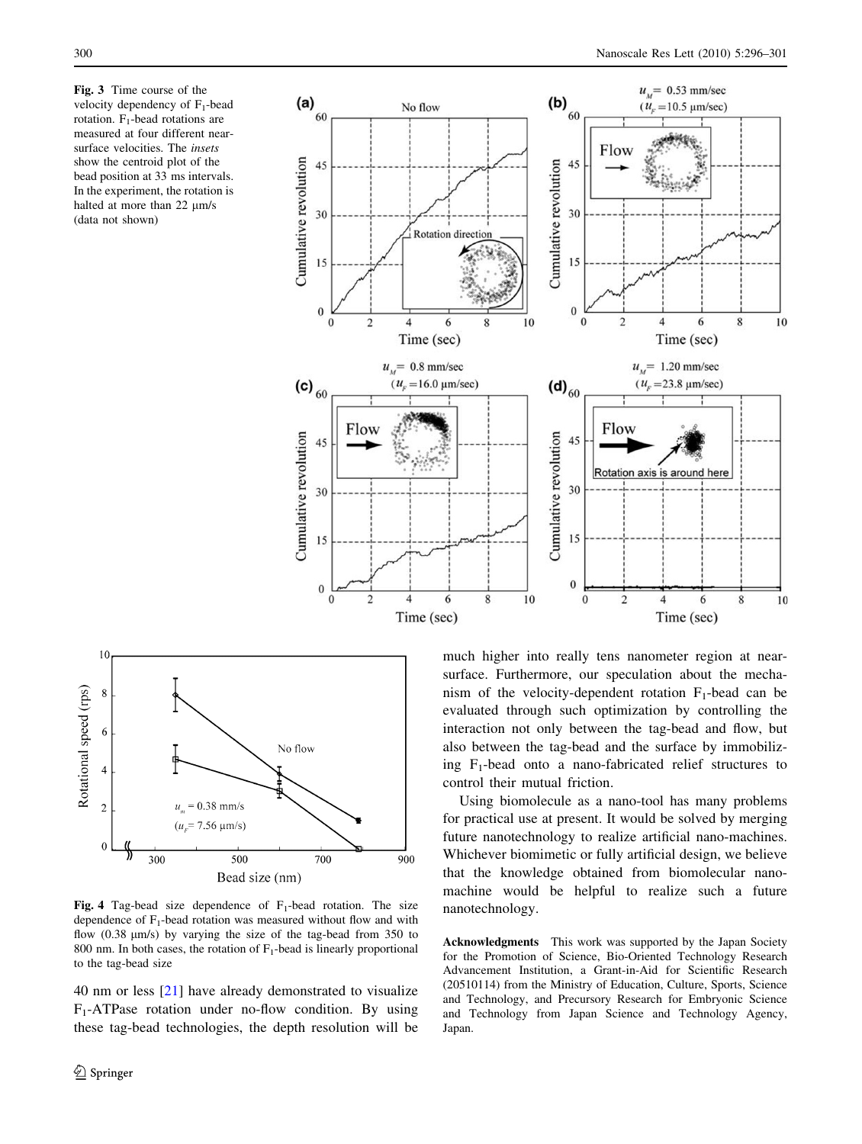<span id="page-4-0"></span>Fig. 3 Time course of the velocity dependency of  $F_1$ -bead rotation.  $F_1$ -bead rotations are measured at four different nearsurface velocities. The insets show the centroid plot of the bead position at 33 ms intervals. In the experiment, the rotation is halted at more than  $22 \mu m/s$ (data not shown)





Fig. 4 Tag-bead size dependence of  $F_1$ -bead rotation. The size dependence of  $F_1$ -bead rotation was measured without flow and with flow  $(0.38 \text{ µm/s})$  by varying the size of the tag-bead from 350 to 800 nm. In both cases, the rotation of  $F_1$ -bead is linearly proportional to the tag-bead size

40 nm or less [[21\]](#page-5-0) have already demonstrated to visualize  $F_1$ -ATPase rotation under no-flow condition. By using these tag-bead technologies, the depth resolution will be much higher into really tens nanometer region at nearsurface. Furthermore, our speculation about the mechanism of the velocity-dependent rotation  $F_1$ -bead can be evaluated through such optimization by controlling the interaction not only between the tag-bead and flow, but also between the tag-bead and the surface by immobilizing  $F_1$ -bead onto a nano-fabricated relief structures to control their mutual friction.

Using biomolecule as a nano-tool has many problems for practical use at present. It would be solved by merging future nanotechnology to realize artificial nano-machines. Whichever biomimetic or fully artificial design, we believe that the knowledge obtained from biomolecular nanomachine would be helpful to realize such a future nanotechnology.

Acknowledgments This work was supported by the Japan Society for the Promotion of Science, Bio-Oriented Technology Research Advancement Institution, a Grant-in-Aid for Scientific Research (20510114) from the Ministry of Education, Culture, Sports, Science and Technology, and Precursory Research for Embryonic Science and Technology from Japan Science and Technology Agency, Japan.